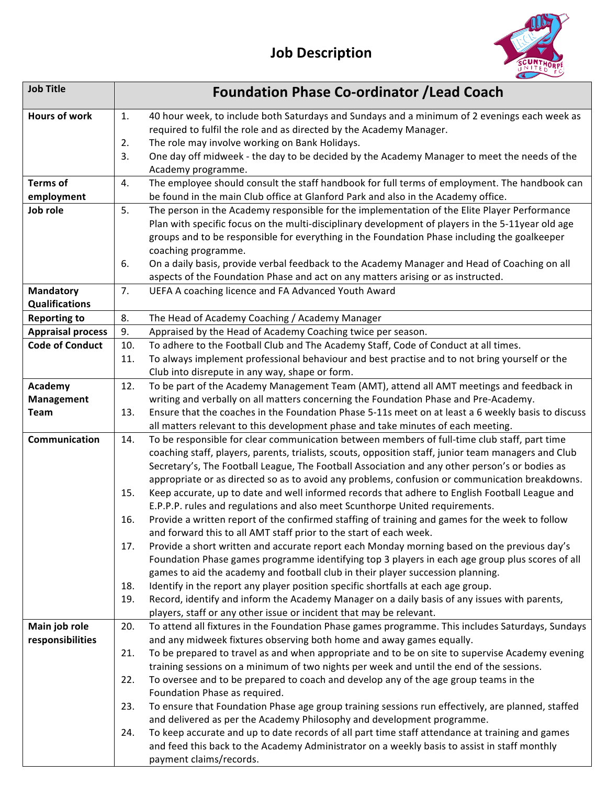

| <b>Job Title</b>                 |     | <b>Foundation Phase Co-ordinator / Lead Coach</b>                                                                                                                                          |
|----------------------------------|-----|--------------------------------------------------------------------------------------------------------------------------------------------------------------------------------------------|
| <b>Hours of work</b>             | 1.  | 40 hour week, to include both Saturdays and Sundays and a minimum of 2 evenings each week as                                                                                               |
|                                  |     | required to fulfil the role and as directed by the Academy Manager.                                                                                                                        |
|                                  | 2.  | The role may involve working on Bank Holidays.                                                                                                                                             |
|                                  | 3.  | One day off midweek - the day to be decided by the Academy Manager to meet the needs of the<br>Academy programme.                                                                          |
| <b>Terms of</b>                  | 4.  | The employee should consult the staff handbook for full terms of employment. The handbook can                                                                                              |
| employment                       |     | be found in the main Club office at Glanford Park and also in the Academy office.                                                                                                          |
| Job role                         | 5.  | The person in the Academy responsible for the implementation of the Elite Player Performance                                                                                               |
|                                  |     | Plan with specific focus on the multi-disciplinary development of players in the 5-11year old age                                                                                          |
|                                  |     | groups and to be responsible for everything in the Foundation Phase including the goalkeeper                                                                                               |
|                                  |     | coaching programme.                                                                                                                                                                        |
|                                  | 6.  | On a daily basis, provide verbal feedback to the Academy Manager and Head of Coaching on all                                                                                               |
|                                  |     | aspects of the Foundation Phase and act on any matters arising or as instructed.                                                                                                           |
| <b>Mandatory</b>                 | 7.  | UEFA A coaching licence and FA Advanced Youth Award                                                                                                                                        |
| <b>Qualifications</b>            |     |                                                                                                                                                                                            |
| <b>Reporting to</b>              | 8.  | The Head of Academy Coaching / Academy Manager                                                                                                                                             |
| <b>Appraisal process</b>         | 9.  | Appraised by the Head of Academy Coaching twice per season.                                                                                                                                |
| <b>Code of Conduct</b>           | 10. | To adhere to the Football Club and The Academy Staff, Code of Conduct at all times.                                                                                                        |
|                                  | 11. | To always implement professional behaviour and best practise and to not bring yourself or the                                                                                              |
|                                  |     | Club into disrepute in any way, shape or form.                                                                                                                                             |
| Academy                          | 12. | To be part of the Academy Management Team (AMT), attend all AMT meetings and feedback in                                                                                                   |
| <b>Management</b><br><b>Team</b> | 13. | writing and verbally on all matters concerning the Foundation Phase and Pre-Academy.<br>Ensure that the coaches in the Foundation Phase 5-11s meet on at least a 6 weekly basis to discuss |
|                                  |     | all matters relevant to this development phase and take minutes of each meeting.                                                                                                           |
| Communication                    | 14. | To be responsible for clear communication between members of full-time club staff, part time                                                                                               |
|                                  |     | coaching staff, players, parents, trialists, scouts, opposition staff, junior team managers and Club                                                                                       |
|                                  |     | Secretary's, The Football League, The Football Association and any other person's or bodies as                                                                                             |
|                                  |     | appropriate or as directed so as to avoid any problems, confusion or communication breakdowns.                                                                                             |
|                                  | 15. | Keep accurate, up to date and well informed records that adhere to English Football League and                                                                                             |
|                                  |     | E.P.P.P. rules and regulations and also meet Scunthorpe United requirements.                                                                                                               |
|                                  | 16. | Provide a written report of the confirmed staffing of training and games for the week to follow                                                                                            |
|                                  |     | and forward this to all AMT staff prior to the start of each week.                                                                                                                         |
|                                  | 17. | Provide a short written and accurate report each Monday morning based on the previous day's                                                                                                |
|                                  |     | Foundation Phase games programme identifying top 3 players in each age group plus scores of all                                                                                            |
|                                  | 18. | games to aid the academy and football club in their player succession planning.<br>Identify in the report any player position specific shortfalls at each age group.                       |
|                                  | 19. | Record, identify and inform the Academy Manager on a daily basis of any issues with parents,                                                                                               |
|                                  |     | players, staff or any other issue or incident that may be relevant.                                                                                                                        |
| Main job role                    | 20. | To attend all fixtures in the Foundation Phase games programme. This includes Saturdays, Sundays                                                                                           |
| responsibilities                 |     | and any midweek fixtures observing both home and away games equally.                                                                                                                       |
|                                  | 21. | To be prepared to travel as and when appropriate and to be on site to supervise Academy evening                                                                                            |
|                                  |     | training sessions on a minimum of two nights per week and until the end of the sessions.                                                                                                   |
|                                  | 22. | To oversee and to be prepared to coach and develop any of the age group teams in the                                                                                                       |
|                                  |     | Foundation Phase as required.                                                                                                                                                              |
|                                  | 23. | To ensure that Foundation Phase age group training sessions run effectively, are planned, staffed                                                                                          |
|                                  |     | and delivered as per the Academy Philosophy and development programme.                                                                                                                     |
|                                  | 24. | To keep accurate and up to date records of all part time staff attendance at training and games                                                                                            |
|                                  |     | and feed this back to the Academy Administrator on a weekly basis to assist in staff monthly                                                                                               |
|                                  |     | payment claims/records.                                                                                                                                                                    |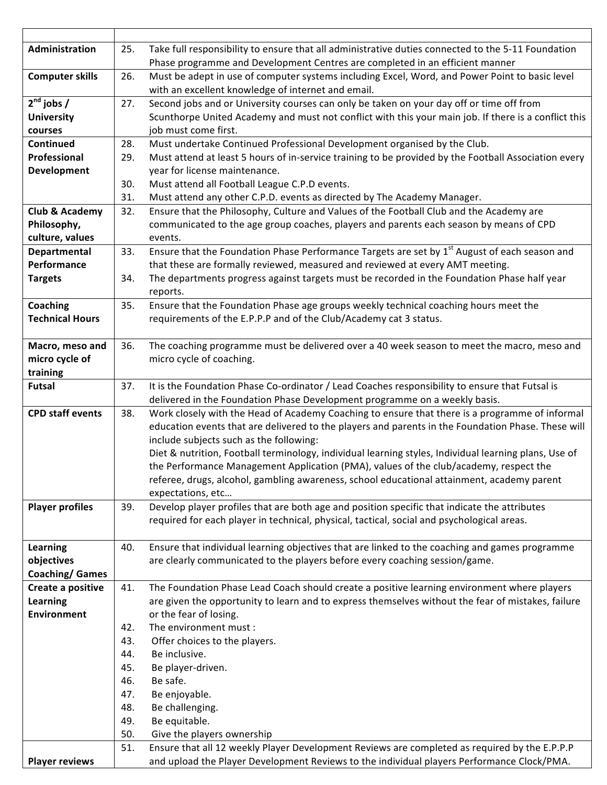| Administration            | 25. | Take full responsibility to ensure that all administrative duties connected to the 5-11 Foundation<br>Phase programme and Development Centres are completed in an efficient manner |
|---------------------------|-----|------------------------------------------------------------------------------------------------------------------------------------------------------------------------------------|
| <b>Computer skills</b>    | 26. | Must be adept in use of computer systems including Excel, Word, and Power Point to basic level                                                                                     |
|                           |     | with an excellent knowledge of internet and email.                                                                                                                                 |
| $2nd$ jobs /              | 27. | Second jobs and or University courses can only be taken on your day off or time off from                                                                                           |
| <b>University</b>         |     | Scunthorpe United Academy and must not conflict with this your main job. If there is a conflict this                                                                               |
| courses                   |     | job must come first.                                                                                                                                                               |
| Continued                 | 28. | Must undertake Continued Professional Development organised by the Club.                                                                                                           |
| Professional              | 29. | Must attend at least 5 hours of in-service training to be provided by the Football Association every                                                                               |
| <b>Development</b>        |     | year for license maintenance.                                                                                                                                                      |
|                           | 30. | Must attend all Football League C.P.D events.                                                                                                                                      |
|                           | 31. | Must attend any other C.P.D. events as directed by The Academy Manager.                                                                                                            |
| <b>Club &amp; Academy</b> | 32. | Ensure that the Philosophy, Culture and Values of the Football Club and the Academy are                                                                                            |
| Philosophy,               |     | communicated to the age group coaches, players and parents each season by means of CPD                                                                                             |
| culture, values           |     | events.                                                                                                                                                                            |
| Departmental              | 33. | Ensure that the Foundation Phase Performance Targets are set by 1 <sup>st</sup> August of each season and                                                                          |
| <b>Performance</b>        |     | that these are formally reviewed, measured and reviewed at every AMT meeting.                                                                                                      |
| <b>Targets</b>            | 34. | The departments progress against targets must be recorded in the Foundation Phase half year                                                                                        |
|                           |     | reports.                                                                                                                                                                           |
| <b>Coaching</b>           | 35. | Ensure that the Foundation Phase age groups weekly technical coaching hours meet the                                                                                               |
| <b>Technical Hours</b>    |     | requirements of the E.P.P.P and of the Club/Academy cat 3 status.                                                                                                                  |
|                           |     |                                                                                                                                                                                    |
| Macro, meso and           | 36. | The coaching programme must be delivered over a 40 week season to meet the macro, meso and                                                                                         |
| micro cycle of            |     | micro cycle of coaching.                                                                                                                                                           |
| training                  |     |                                                                                                                                                                                    |
| <b>Futsal</b>             | 37. | It is the Foundation Phase Co-ordinator / Lead Coaches responsibility to ensure that Futsal is                                                                                     |
|                           |     | delivered in the Foundation Phase Development programme on a weekly basis.                                                                                                         |
| <b>CPD staff events</b>   | 38. | Work closely with the Head of Academy Coaching to ensure that there is a programme of informal                                                                                     |
|                           |     | education events that are delivered to the players and parents in the Foundation Phase. These will                                                                                 |
|                           |     | include subjects such as the following:                                                                                                                                            |
|                           |     | Diet & nutrition, Football terminology, individual learning styles, Individual learning plans, Use of                                                                              |
|                           |     | the Performance Management Application (PMA), values of the club/academy, respect the                                                                                              |
|                           |     | referee, drugs, alcohol, gambling awareness, school educational attainment, academy parent                                                                                         |
|                           |     | expectations, etc                                                                                                                                                                  |
| <b>Player profiles</b>    | 39. | Develop player profiles that are both age and position specific that indicate the attributes                                                                                       |
|                           |     | required for each player in technical, physical, tactical, social and psychological areas.                                                                                         |
|                           |     |                                                                                                                                                                                    |
| <b>Learning</b>           | 40. | Ensure that individual learning objectives that are linked to the coaching and games programme                                                                                     |
| objectives                |     | are clearly communicated to the players before every coaching session/game.                                                                                                        |
| <b>Coaching/ Games</b>    |     |                                                                                                                                                                                    |
| Create a positive         | 41. | The Foundation Phase Lead Coach should create a positive learning environment where players                                                                                        |
| Learning                  |     | are given the opportunity to learn and to express themselves without the fear of mistakes, failure                                                                                 |
| <b>Environment</b>        |     | or the fear of losing.                                                                                                                                                             |
|                           | 42. | The environment must :                                                                                                                                                             |
|                           | 43. | Offer choices to the players.                                                                                                                                                      |
|                           | 44. | Be inclusive.                                                                                                                                                                      |
|                           | 45. | Be player-driven.                                                                                                                                                                  |
|                           | 46. | Be safe.                                                                                                                                                                           |
|                           | 47. | Be enjoyable.                                                                                                                                                                      |
|                           | 48. | Be challenging.                                                                                                                                                                    |
|                           | 49. | Be equitable.                                                                                                                                                                      |
|                           | 50. | Give the players ownership                                                                                                                                                         |
|                           | 51. | Ensure that all 12 weekly Player Development Reviews are completed as required by the E.P.P.P                                                                                      |
| <b>Player reviews</b>     |     | and upload the Player Development Reviews to the individual players Performance Clock/PMA.                                                                                         |
|                           |     |                                                                                                                                                                                    |

H.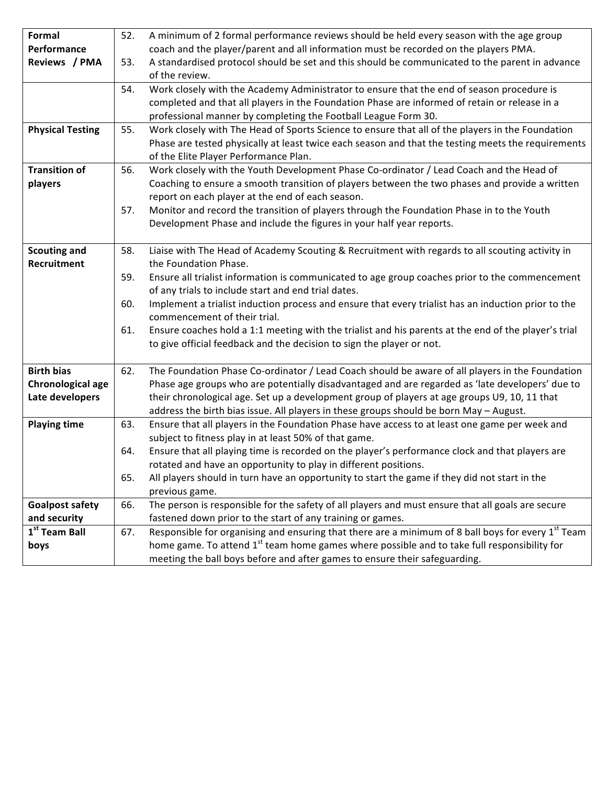| <b>Formal</b>             | 52. | A minimum of 2 formal performance reviews should be held every season with the age group                |
|---------------------------|-----|---------------------------------------------------------------------------------------------------------|
| Performance               |     | coach and the player/parent and all information must be recorded on the players PMA.                    |
| Reviews / PMA             | 53. | A standardised protocol should be set and this should be communicated to the parent in advance          |
|                           |     | of the review.                                                                                          |
|                           | 54. | Work closely with the Academy Administrator to ensure that the end of season procedure is               |
|                           |     | completed and that all players in the Foundation Phase are informed of retain or release in a           |
|                           |     | professional manner by completing the Football League Form 30.                                          |
| <b>Physical Testing</b>   | 55. | Work closely with The Head of Sports Science to ensure that all of the players in the Foundation        |
|                           |     | Phase are tested physically at least twice each season and that the testing meets the requirements      |
|                           |     | of the Elite Player Performance Plan.                                                                   |
| <b>Transition of</b>      | 56. | Work closely with the Youth Development Phase Co-ordinator / Lead Coach and the Head of                 |
| players                   |     | Coaching to ensure a smooth transition of players between the two phases and provide a written          |
|                           |     | report on each player at the end of each season.                                                        |
|                           | 57. | Monitor and record the transition of players through the Foundation Phase in to the Youth               |
|                           |     | Development Phase and include the figures in your half year reports.                                    |
|                           |     |                                                                                                         |
| <b>Scouting and</b>       | 58. | Liaise with The Head of Academy Scouting & Recruitment with regards to all scouting activity in         |
| Recruitment               |     | the Foundation Phase.                                                                                   |
|                           | 59. | Ensure all trialist information is communicated to age group coaches prior to the commencement          |
|                           |     | of any trials to include start and end trial dates.                                                     |
|                           | 60. | Implement a trialist induction process and ensure that every trialist has an induction prior to the     |
|                           |     | commencement of their trial.                                                                            |
|                           | 61. | Ensure coaches hold a 1:1 meeting with the trialist and his parents at the end of the player's trial    |
|                           |     | to give official feedback and the decision to sign the player or not.                                   |
|                           |     |                                                                                                         |
| <b>Birth bias</b>         | 62. | The Foundation Phase Co-ordinator / Lead Coach should be aware of all players in the Foundation         |
| Chronological age         |     | Phase age groups who are potentially disadvantaged and are regarded as 'late developers' due to         |
| Late developers           |     | their chronological age. Set up a development group of players at age groups U9, 10, 11 that            |
|                           |     | address the birth bias issue. All players in these groups should be born May - August.                  |
| <b>Playing time</b>       | 63. | Ensure that all players in the Foundation Phase have access to at least one game per week and           |
|                           |     | subject to fitness play in at least 50% of that game.                                                   |
|                           | 64. | Ensure that all playing time is recorded on the player's performance clock and that players are         |
|                           |     | rotated and have an opportunity to play in different positions.                                         |
|                           | 65. | All players should in turn have an opportunity to start the game if they did not start in the           |
|                           |     | previous game.                                                                                          |
| <b>Goalpost safety</b>    | 66. | The person is responsible for the safety of all players and must ensure that all goals are secure       |
| and security              |     | fastened down prior to the start of any training or games.                                              |
| 1 <sup>st</sup> Team Ball | 67. | Responsible for organising and ensuring that there are a minimum of 8 ball boys for every $1st$ Team    |
| boys                      |     | home game. To attend 1 <sup>st</sup> team home games where possible and to take full responsibility for |
|                           |     | meeting the ball boys before and after games to ensure their safeguarding.                              |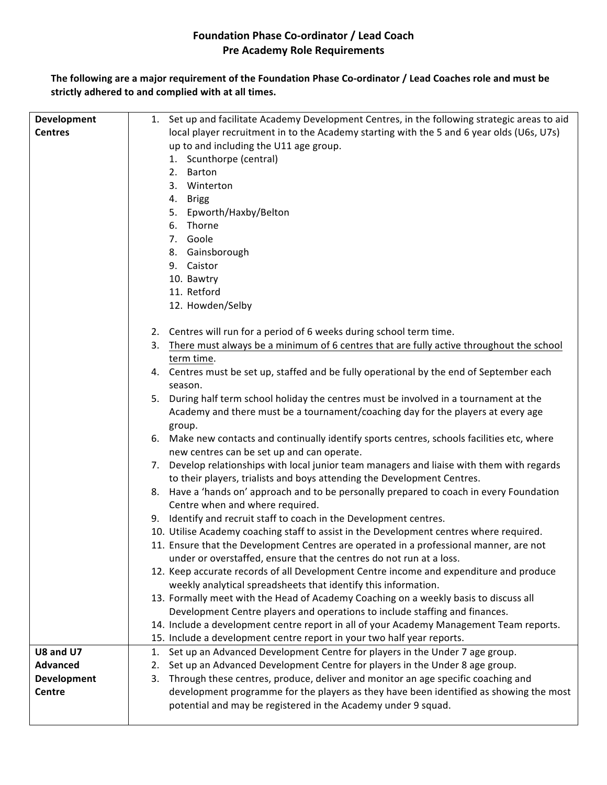## **Foundation Phase Co-ordinator / Lead Coach Pre Academy Role Requirements**

The following are a major requirement of the Foundation Phase Co-ordinator / Lead Coaches role and must be strictly adhered to and complied with at all times.

| Development        | 1. Set up and facilitate Academy Development Centres, in the following strategic areas to aid |
|--------------------|-----------------------------------------------------------------------------------------------|
| <b>Centres</b>     | local player recruitment in to the Academy starting with the 5 and 6 year olds (U6s, U7s)     |
|                    | up to and including the U11 age group.                                                        |
|                    | 1. Scunthorpe (central)                                                                       |
|                    | 2. Barton                                                                                     |
|                    | 3. Winterton                                                                                  |
|                    | 4.<br><b>Brigg</b>                                                                            |
|                    | 5. Epworth/Haxby/Belton                                                                       |
|                    | 6. Thorne                                                                                     |
|                    | 7. Goole                                                                                      |
|                    | 8. Gainsborough                                                                               |
|                    | 9. Caistor                                                                                    |
|                    | 10. Bawtry                                                                                    |
|                    | 11. Retford                                                                                   |
|                    | 12. Howden/Selby                                                                              |
|                    |                                                                                               |
|                    | 2. Centres will run for a period of 6 weeks during school term time.                          |
|                    | 3. There must always be a minimum of 6 centres that are fully active throughout the school    |
|                    | term time.                                                                                    |
|                    | 4. Centres must be set up, staffed and be fully operational by the end of September each      |
|                    | season.                                                                                       |
|                    | 5. During half term school holiday the centres must be involved in a tournament at the        |
|                    | Academy and there must be a tournament/coaching day for the players at every age              |
|                    | group.                                                                                        |
|                    | 6. Make new contacts and continually identify sports centres, schools facilities etc, where   |
|                    | new centres can be set up and can operate.                                                    |
|                    | 7. Develop relationships with local junior team managers and liaise with them with regards    |
|                    | to their players, trialists and boys attending the Development Centres.                       |
|                    | 8. Have a 'hands on' approach and to be personally prepared to coach in every Foundation      |
|                    | Centre when and where required.                                                               |
|                    | 9. Identify and recruit staff to coach in the Development centres.                            |
|                    | 10. Utilise Academy coaching staff to assist in the Development centres where required.       |
|                    | 11. Ensure that the Development Centres are operated in a professional manner, are not        |
|                    | under or overstaffed, ensure that the centres do not run at a loss.                           |
|                    | 12. Keep accurate records of all Development Centre income and expenditure and produce        |
|                    | weekly analytical spreadsheets that identify this information.                                |
|                    | 13. Formally meet with the Head of Academy Coaching on a weekly basis to discuss all          |
|                    | Development Centre players and operations to include staffing and finances.                   |
|                    | 14. Include a development centre report in all of your Academy Management Team reports.       |
|                    | 15. Include a development centre report in your two half year reports.                        |
| U8 and U7          | Set up an Advanced Development Centre for players in the Under 7 age group.<br>1.             |
| <b>Advanced</b>    | Set up an Advanced Development Centre for players in the Under 8 age group.<br>2.             |
| <b>Development</b> | Through these centres, produce, deliver and monitor an age specific coaching and<br>3.        |
| <b>Centre</b>      | development programme for the players as they have been identified as showing the most        |
|                    | potential and may be registered in the Academy under 9 squad.                                 |
|                    |                                                                                               |